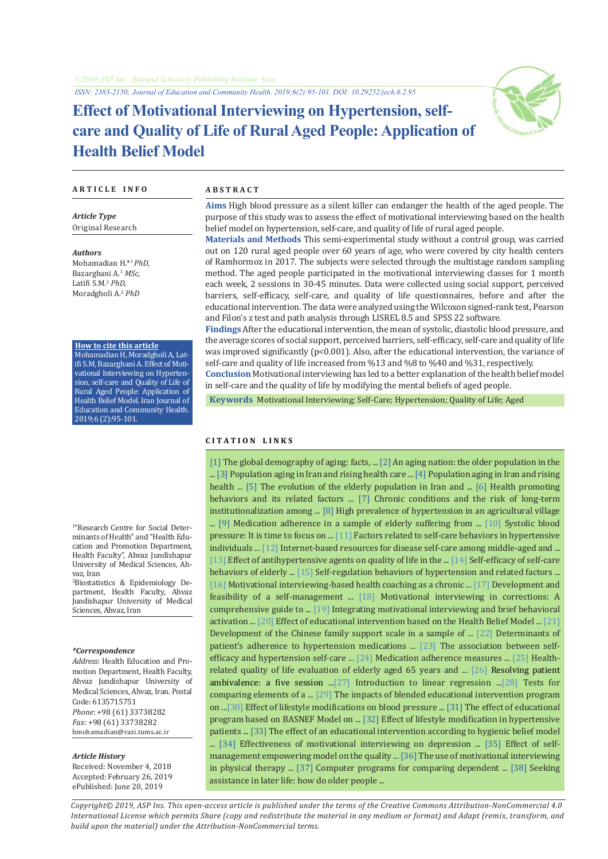*ISSN: 2383-2150; Journal of Education and Community Health. 2019;6(2):95-101. DOI: 10.29252/jech.6.2.95*

# **Effect of Motivational Interviewing on Hypertension, selfcare and Quality of Life of Rural Aged People: Application of Health Belief Model**



## **A R T I C L E I N F O A B S T R A C T**

*Article Type* Original Research

*Authors* Mohamadian H.\*1 *PhD,* Bazarghani A.<sup>1</sup> *MSc,* Latifi S.M.<sup>2</sup> *PhD,* Moradgholi A.2  *PhD*

## **How to cite this article**

Mohamadian H, Moradgholi A, Latifi S.M, Bazarghani A. Effect of Motivational Interviewing on Hypertension, self-care and Quality of Life of Rural Aged People: Application of Health Belief Model. Iran Journal of Education and Community Health. 2019;6 (2):95-101.

1 "Research Centre for Social Determinants of Health" and "Health Education and Promotion Department, Health Faculty", Ahvaz Jundishapur University of Medical Sciences, Ahvaz, Iran

2 Biostatistics & Epidemiology Department, Health Faculty, Ahvaz Jundishapur University of Medical Sciences, Ahvaz, Iran

### *\*Correspondence*

*Address*: Health Education and Promotion Department, Health Faculty, Ahvaz Jundishapur University of Medical Sciences, Ahvaz, Iran. Postal Code: 6135715751 *Phone*: +98 (61) 33738282 *Fax*: +98 (61) 33738282 hmohamadian@razi.tums.ac.ir

### *Article History*

Received: November 4, 2018 Accepted: February 26, 2019 ePublished: June 20, 2019

**Aims** High blood pressure as a silent killer can endanger the health of the aged people. The purpose of this study was to assess the effect of motivational interviewing based on the health belief model on hypertension, self-care, and quality of life of rural aged people.

**Materials and Methods** This semi-experimental study without a control group, was carried out on 120 rural aged people over 60 years of age, who were covered by city health centers of Ramhormoz in 2017. The subjects were selected through the multistage random sampling method. The aged people participated in the motivational interviewing classes for 1 month each week, 2 sessions in 30-45 minutes. Data were collected using social support, perceived barriers, self-efficacy, self-care, and quality of life questionnaires, before and after the educational intervention. The data were analyzed using the Wilcoxon signed-rank test, Pearson and Filon's z test and path analysis through LISREL 8.5 and SPSS 22 software.

**Findings** After the educational intervention, the mean of systolic, diastolic blood pressure, and the average scores of social support, perceived barriers, self-efficacy, self-care and quality of life was improved significantly ( $p<0.001$ ). Also, after the educational intervention, the variance of self-care and quality of life increased from %13 and %8 to %40 and %31, respectively.

**Conclusion** Motivational interviewing has led to a better explanation of the health belief model in self-care and the quality of life by modifying the mental beliefs of aged people.

 **Keywords** [Motivational Interviewing](
Motivational Interviewing [https://www.ncbi.nlm.nih.gov/mesh/68062405
); [Self-Care;](https://www.ncbi.nlm.nih.gov/mesh/68012648) [Hypertension](https://www.ncbi.nlm.nih.gov/mesh/68006973); [Quality of Life;](https://www.ncbi.nlm.nih.gov/mesh/68011788) [Aged](https://www.ncbi.nlm.nih.gov/mesh/68000368)

# **C I T A T I O N L I N K S**

[[1\]](https://books.google.com/books?id=dBGdBAAAQBAJ&dq) The global demography of aging: facts, ... [\[2](https://books.google.com/books?id=ZlZlAQAACAAJ&dq)] An aging nation: the older population in the ... [[3\]](https://www.who.int/ageing/publications/global_health/en/) Population aging in Iran and rising health care ... [[4\]](http://salmandj.uswr.ac.ir/article-1-1226-fa.html) Population aging in Iran and rising health ... [[5\]](http://amar.srtc.ac.ir/article-1-298-fa.html) The evolution of the elderly population in Iran and ... [\[6](http://ijn.iums.ac.ir/article-1-188-fa.html)] Health promoting behaviors and its related factors ... [\[7](https://www.ncbi.nlm.nih.gov/pubmed/17566001)] Chronic conditions and the risk of long-term institutionalization among ... [\[8](https://www.ncbi.nlm.nih.gov/pubmed/30114223)] High prevalence of hypertension in an agricultural village ... [\[9](https://www.ncbi.nlm.nih.gov/pubmed/24511766)] Medication adherence in a sample of elderly suffering from ... [\[10](https://www.ncbi.nlm.nih.gov/pmc/articles/PMC1124431/)] Systolic blood pressure: It is time to focus on ... [\[11\]](http://koomeshjournal.semums.ac.ir/article-1-2154-fa.html) Factors related to self-care behaviors in hypertensive individuals ... [\[12\]](https://www.ncbi.nlm.nih.gov/pubmed/27779440) Internet-based resources for disease self-care among middle-aged and ... [[13](https://www.ncbi.nlm.nih.gov/pubmed/15084140)] Effect of antihypertensive agents on quality of life in the ... [\[14\]](http://jsums.medsab.ac.ir/article_483_0.html) Self-efficacy of self-care behaviors of elderly ... [\[15\]](http://journal.fums.ac.ir/article-1-74-fa.html) Self-regulation behaviors of hypertension and related factors ... [[16](https://www.ncbi.nlm.nih.gov/pubmed/20367828)] Motivational interviewing-based health coaching as a chronic ... [\[17\]](https://www.ncbi.nlm.nih.gov/pubmed/23434613) Development and feasibility of a self-management ... [[18\]](https://books.google.com/books?id=SDksuwEACAAJ&dq) Motivational interviewing in corrections: A comprehensive guide to ... [\[19](https://www.ncbi.nlm.nih.gov/pubmed/29151779)] Integrating motivational interviewing and brief behavioral activation ... [[20](http://jmums.mazums.ac.ir/article-1-4773-fa.html)] Effect of educational intervention based on the Health Belief Model ... [[21\]](https://www.ncbi.nlm.nih.gov/pmc/articles/PMC3869941/) Development of the Chinese family support scale in a sample of ... [\[22\]](https://www.ncbi.nlm.nih.gov/pmc/articles/PMC4250992/) Determinants of patient's adherence to hypertension medications ... [\[23](https://www.ncbi.nlm.nih.gov/pmc/articles/PMC3179559/)] The association between selfefficacy and hypertension self-care ... [[24](https://www.ncbi.nlm.nih.gov/pubmed/26539470)] Medication adherence measures ... [\[25](https://www.ncbi.nlm.nih.gov/pubmed/25982226)] Healthrelated quality of life evaluation of elderly aged 65 years and ... [[26\]](https://books.google.com/books?id=GTIxngAACAAJ&dq) Resolving patient ambivalence: a five session ...[\[27](https://books.google.com/books?id=0yR4KUL4VDkC&printsec=frontcover&dq)] Introduction to linear regression ...[[28](https://psycnet.apa.org/record/1980-08757-001)] Tests for comparing elements of a ... [\[29](http://rjms.iums.ac.ir/article-1-3788-fa.html)] The impacts of blended educational intervention program on ...[[30\]](http://ijpsr.com/bft-article/effect-of-lifestyle-modifications-on-blood-pressure-in-hypertensive-patients/) Effect of lifestyle modifications on blood pressure ... [[31\]](http://jms.thums.ac.ir/article-1-40-fa.html) The effect of educational program based on BASNEF Model on ... [[32\]](https://ejhm.journals.ekb.eg/article_15853.html) Effect of lifestyle modification in hypertensive patients ... [[33\]](http://journal.rums.ac.ir/browse.php?a_code=A-10-1665-1&slc_lang=fa&sid=1) The effect of an educational intervention according to hygienic belief model ... [\[34\]](http://jcp.semnan.ac.ir/article_2256.html) Effectiveness of motivational interviewing on depression ... [\[35](http://salmandj.uswr.ac.ir/article-1-796-fa.html)] Effect of selfmanagement empowering model on the quality ... [[36\]](https://journals.lww.com/jopte/Abstract/2015/29020/The_Use_of_Motivational_Interviewing_in_Physical.9.aspx) The use of motivational interviewing in physical therapy ... [[37\]](http://www.scielo.org.pe/scielo.php?script=sci_arttext&pid=S2223-25162016000200007) Computer programs for comparing dependent ... [\[38](https://www.ncbi.nlm.nih.gov/pubmed/29315385)] Seeking assistance in later life: how do older people ...

*Copyright© 2019, ASP Ins. This open-access article is published under the terms of the Creative Commons Attribution-NonCommercial 4.0 International License which permits Share (copy and redistribute the material in any medium or format) and Adapt (remix, transform, and build upon the material) under the Attribution-NonCommercial terms.*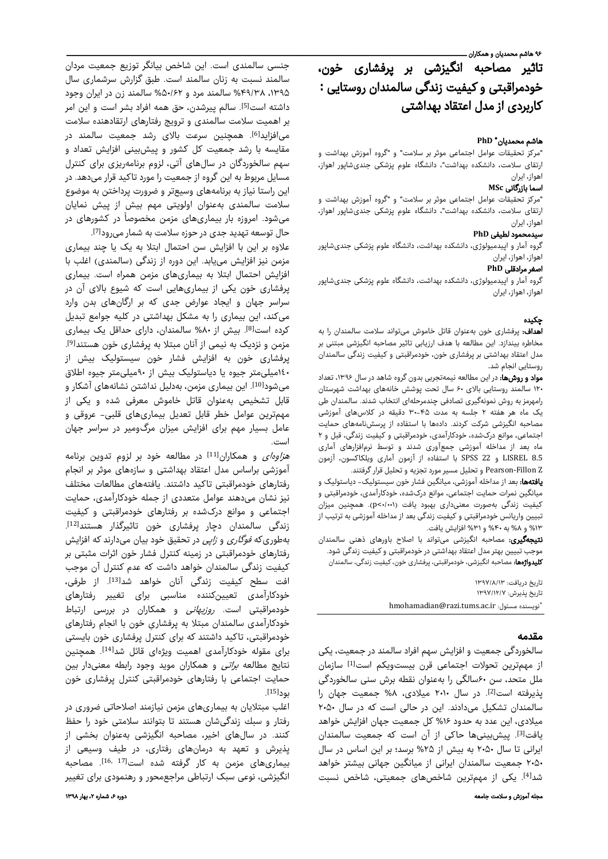# تاثیر مصاحبه انگیزشی بر پرفشاری خون، خودمراقبتی و کیفیت زندگی سالمندان روستایی **:** کاربردی از مدل اعتقاد بهداشتی

# **PhD** \* هاشم محمديان

"مركز تحقیقات عوامل اجتماعی موثر بر سلامت" و "گروه آموزش بهداشت و ارتقای سلامت، دانشكده بهداشت"، دانشگاه علوم پزشكی جندیشاپور اهواز، اهواز، ايران

## اسما بازرگانی **MSc**

"مركز تحقیقات عوامل اجتماعی موثر بر سلامت" و "گروه آموزش بهداشت و ارتقای سلامت، دانشكده بهداشت"، دانشگاه علوم پزشكی جندیشاپور اهواز، اهواز، ايران

# سیدمحمود لطیفی **PhD**

گروه آمار و اپیدمیولوژی، دانشكده بهداشت، دانشگاه علوم پزشكی جندیشاپور اهواز، اهواز، ايران

## اصغر مرادقلی **PhD**

گروه آمار و اپیدمیولوژی، دانشكده بهداشت، دانشگاه علوم پزشكی جندیشاپور اهواز، اهواز، ايران

# چکيده

اهداف: پرفشاری خون بهعنوان قاتل خاموش می تواند سلامت سالمندان را به مخاطره بیندازد. این مطالعه با هدف ارزیابی تاثیر مصاحبه انگیزشی مبتنی بر مدل اعتقاد بهداشتی بر پرفشاری خون، خودمراقبتی و کیفیت زندگی سالمندان روستایی انجام شد.

مواد و روشها: در این مطالعه نیمهتجربی بدون گروه شاهد در سال ۱۳۹۶، تعداد ۱۲۰ سالمند روستایی بالای ۶۰ سال تحت پوشش خانههای بهداشت شهرستان رامهرمز به روش نمونهگیری تصادفی چندمرحلهای انتخاب شدند. سالمندان طی یک ماه هر هفته ۲ جلسه به مدت ۳۰-۴۵ دقیقه در کلاس ی آموزشی ها مصاحبه انگیزشی شرکت کردند. دادهها با استفاده از پرسشنامههای حمایت اجتماعی، موانع درکشده، خودکارآمدی، خودمراقبتی و کیفیت زندگی، قبل و ۲ ماه بعد از مداخله آموزشی جمعآوری شدند و توسط نرمافزارهای آماری 8.5 LISREL و 22 SPSS با استفاده از آزمون آماری ویلکاکسون، آزمون Z Fillon-Pearson و تحلیل مسیر مورد تجزیه و تحلیل قرار گرفتند.

**یافتهها:** بعد از مداخله آموزشی، میانگین فشار خون سیستولیک- دیاستولیک و میانگین نمرات حمایت اجتماعی، موانع درکشده، خودکارآمدی، خودمراقبتی و کیفیت زندگی بهصورت معنیداری بهبود یافت (۱۰۰۱×p). همچنین میزان تبیین واریانس خودمراقبتی و کیفیت زندگی بعد از مداخله آموزشی به ترتیب از ۱۳ % و ۸ % به ۴۰ % و ۳۱ % افزا شی یافت .

**نتیجهگیری:** مصاحبه انگیزشی میتواند با اصلاح باورهای ذهنی سالمندان موجب تبیین بهتر مدل اعتقاد بهداشتی در خودمراقبتی و کیفیت زندگی شود. **کلیدواژهها:** مصاحبه انگیزشی، خودمراقبتی، پرفشاری خون، کیفیت زندگی، سالمندان

> تاريخ دريافت: ۱۳۹۷/۸/۱۳ تاريخ يذيرش: ۱۳۹۷/۱۲/۷ \*hmohamadian@razi.tums.ac.ir :مسئول نويسنده

# مقدمه

سالخوردگی جمعیت و افزایش سهم افراد سالمند در جمعیت، یکی از مهمترین تحولات اجتماعی قرن بیستویکم است<sup>[1]</sup> سازمان ملل متحد، سن ۶۰سالگی را بهعنوان نقطه برش سنی سالخوردگی یذیرفته است [2]. در سال ۲۰۱۰ میلادی، ۸% جمعیت جهان را سالمندان تشکیل میدادند. این در حالی است که در سال ۲۰۵۰ میلادی، این عدد به حدود ۱۶% کل جمعیت جهان افزایش خواهد یافت<sup>[3]</sup>. ییش بینیها حاکی از آن است که جمعیت سالمندان ایرانی تا سال ۲۰۵۰ به بیش از ۲۵% برسد؛ بر این اساس در سال ۲۰۵۰ جمعیت سالمندان ایرانی از میانگین جهانی بیشتر خواهد شد<sup>[4]</sup>. یکی از مهمترین شاخصهای جمعیتی، شاخص نسبت

جنسی سالمندی است. این شاخص بیانگر توزیع جمعیت مردان سالمند نسبت به زنان سالمند است. طبق گزارش سرشماری سال ،١٣٩۵ ۴۹/۳۸ % سالمند مرد و ۵۰/۶۲ % سالمند زن در ایران وجود داشته است<sup>[5]</sup>. سالم یپرشدن، حق همه افراد بشر است و این امر بر اهمیت سلامت سالمندی و ترویج رفتارهای ارتقادهنده سلامت می|فزاید<sup>[6]</sup>. همچنین سرعت بالای رشد جمعیت سالمند در مقایسه با رشد جمعیت کل کشور و پیش بینی افزایش تعداد و سهم سالخوردگان در سالهای آتی، لزوم برنامه ییزی برای کنترل مسایل مربوط به این گروه از جمعیت را مورد تاکید قرار میدهد. در این راستا نیاز به برنامههای وسیعتر و ضرورت پرداختن به موضوع سلامت سالمندی بهعنوان اولویتی مهم بیش از پیش نمایان میشود. امروزه بار بیماریهای مزمن مخصوصاً در کشورهای در

حال توسعه تهدید جدی در حوزه سلامت به شمار میرود<sup>[7]</sup>. علاوه بر این با افزایش سن احتمال ابتلا به یک یا چند بیماری مزمن نیز افزایش مییابد. این دوره از زندگی (سالمندی) اغلب با افزایش احتمال ابتلا به بیماریهای مزمن همراه است. بیماری پرفشاری خون یکی از بیماریهایی است که شیوع بالای آن در سراسر جهان و ایجاد عوارض جدی که بر ارگانهای بدن وارد می کند، این بیماری را به مشکل بهداشتی در کلیه جوامع تبدیل کرده است<sup>[8]</sup>. بیش از ۸۰% سالمندان، دارای حداقل یک بیماری مزمن و نزدیک به نیمی از آنان مبتلا به پرفشاری خون هستند<sup>[9]</sup>. پرفشاری خون به افزایش فشار خون سیستولیک بیش از ١٤٠میلیمتر جیوه یا دیاستولیک بیش از ٩٠میلیمتر جیوه اطلاق میشود<sup>[10]</sup>. این بیماری مزمن، بهدلیل نداشتن نشانههای آشکار و قابل تشخیص بهعنوان قاتل خاموش معرفی شده و یکی از مهمترین عوامل خطر قابل تعدیل بیماریهای قلبی - عروقی و عامل بسیار مهم برای افزایش میزان مرگومیر در سراسر جهان است.

ه*زاوهای* و همکاران<sup>[11]</sup> در مطالعه خود بر لزوم تدوین برنامه آموزشی براساس مدل اعتقاد بهداشتی و سازههای موثر بر انجام رفتارهای خودمراقبتی تاکید داشتند. یافتههای مطالعات مختلف نیز نشان میٖدهند عوامل متعددی از جمله خودکارآمدی، حمایت اجتماعی و موانع درکشده بر رفتارهای خودمراقبتی و کیفیت زندگی سالمندان دچار پرفشاری خون تاثیرگذار هستندا $^{\text{\tiny{[12]}}}$ . بهطوریکه *فوگاری* و *زایی* در تحقیق خود بیان میدارند که افزایش رفتارهای خودمراقبتی در زمینه کنترل فشار خون اثرات مثبتی بر كیفیت زندگی سالمندان خواهد داشت كه عدم كنترل آن موجب افت سطح كیفیت زندگی آنان خواهد شد<sup>[13]</sup>. از طرفی، خودکارآمدی تعیینکننده مناسبی برای تغییر رفتارهای خودمراقبتی است. روزبهانی و همکاران در بررسی ارتباط خودکارآمدی سالمندان مبتلا به پرفشاری خون با انجام رفتارهای خودمراقبتی، تاکید داشتند که برای کنترل پرفشاری خون بایستی برای مقوله خودکارآمدی اهمیت ویژهای قائل شد<sup>[14]</sup>. همچنین نتایج مطالعه *براتی* و همکاران موید وجود رابطه معنیدار بین حمایت اجتماعی با رفتارهای خودمراقبتی کنترل پرفشاری خون . [15] بود

اغلب مبتلایان به بیماریهای مزمن نیازمند اصلاحاتی ضروری در رفتار و سبك زندگیشان هستند تا بتوانند سلامتی خود را حفظ كنند . در سالهای اخیر، مصاحبه انگیزشی بهعنوان بخشی از پذیرش و تعهد هب درمانهای رفتاری، در فیط وسیعی از بیماریهای مزمن به کار گرفته شده است[11 16, مصاحبه انگیزشی، نوعی سبک ارتباطی مراجعمحور و رهنمودی برای تغییر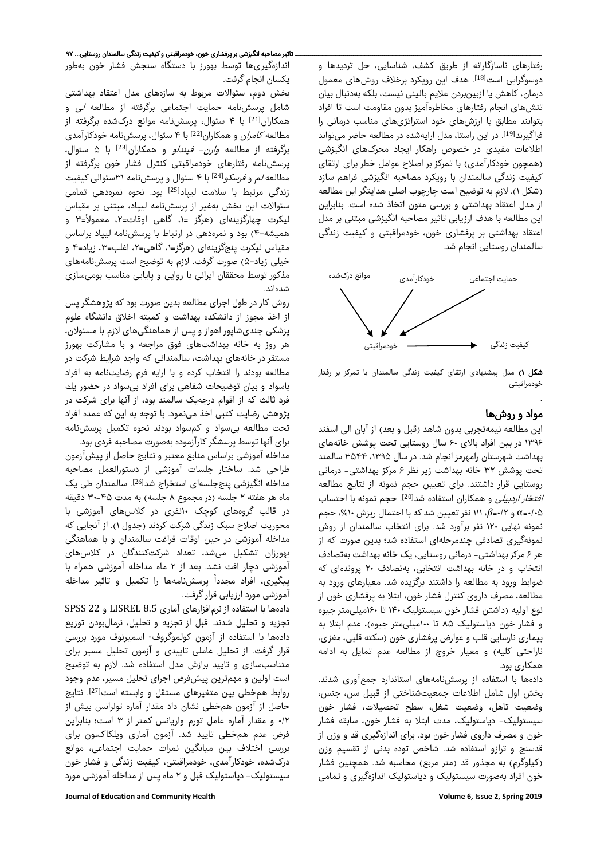رفتارهای ناسازگارانه از طریق كشف، شناسایی، حل تردیدها و دوسوگرایی است<sup>[18]</sup>. هدف این رویکرد برخلاف روشهای معمول درمان، کاهش یا ازبینبردن علایم بالینی نیست، بلکه بهدنبال بیان تنشهای انجام رفتارهای مخاطرهآمیز بدون مقاومت است تا افراد بتوانند مطابق با ارزشهای خود استراتژیهای مناسب درمانی را فراگیرند<sup>[19]</sup>. در این راستا، مدل ارایهشده در مطالعه حاضر میتواند اطلاعات مفیدی در خصوص راهکار ایجاد محرکهای انگیزشی (همچون خودکارآمدی) با تمرکز بر اصلاح عوامل خطر برای ارتقای کیفیت زندگی سالمندان با رویکرد مصاحبه انگیزشی فراهم سازد (شکل ۱). لازم به توضیح است چارچوب اصلی هدایتگر این مطالعه از مدل اعتقاد بهداشتی و بررسی متون اتخاذ شده است. بنابراین اين مطالعه با هدف ارزیابی تاثیر مصاحبه انگيزشی مبتنی بر مدل اعتقاد بهداشتی بر پرفشاری خون، خودمراقبتی و کیفیت زندگی سالمندان روستایی انجام شد.



شکل ۱) مدل پیشنهادی ارتقای کیفیت زندگی سالمندان با تمرکز بر رفتار خودمراقبتی

## مواد و روشها

.

این مطالعه نیمهتجربی بدون شاهد (قبل و بعد) از آبان الی اسفند ۱۳۹۶ در بین افراد بالای ۶۰ سال روستایی تحت پوشش خانههای بهداشت شهرستان رامهرمز انجام شد. در سال ،۱۳۹۵ ۳۵۴۴ سالمند تحت پوشش ۳۲ خانه بهداشت زیر نظر ۶ مرکز بهداشتی- درمانی روستایی قرار داشتند. برای تعیین حجم نمونه از نتایج مطالعه /فتخار/ردبیلی و همکاران استفاده شد<sup>[20]</sup>. حجم نمونه با احتساب ۰/۰۵=α و ۰/۲=*β*، ۱۱۱ نفر تعیین شد که با احتمال ریزش ،%۱۰ حجم نمونه نهایی ۱۲۰ نفر برآورد شد. برای انتخاب سالمندان از روش نمونهگیری تصادفی چندمرحلهای استفاده شد؛ بدین صورت که از هر ۶ مرکز بهداشتی- درمانی روستایی، یک خانه بهداشت بهتصادف انتخاب و در خانه بهداشت انتخابی، بهتصادف ۲۰ پروندهای که ضوابط ورود به مطالعه را داشتند برگزیده شد. معیارهای ورود به مطالعه، مصرف داروی کنترل فشار خون، ابتلا به پرفشاری خون از نوع اولیه (داشتن فشار خون سیستولیک ۱۴۰ تا ۱۶۰میلیمتر جیوه و فشار خون دیاستولیک ۸۵ تا ۱۰۰میلیمتر جیوه)، عدم ابتلا به بیماری [نارسایی قلب](http://iranheart.ir/%D8%A8%D9%8A%D9%85%D8%A7%D8%B1%D9%8A%D9%87%D8%A7%D9%8A-%D8%AF%D8%B1%D9%8A%DA%86%D9%87-%D8%A7%D9%8A-%D8%AA%D9%86%DA%AF%D9%8A-%D8%8C-%D9%86%D8%A7%D8%B1%D8%B3%D8%A7%D9%8A%D9%8A/) و عوارض پرفشاری خون (سكته قلبی، مغزی، ناراحتی كلیه) و معیار خروج از مطالعه عدم تمایل به ادامه همکاری بود.

دادهها با استفاده از پرسشنامههای استاندارد جمعآوری شدند. بخش اول شامل اطلاعات جمعیتشناختی از قبیل سن، جنس، وضعیت تاهل، وضعیت شغل، سطح تحصیلات، فشار خون سیستولیک- دیاستولیک، مدت ابتلا به فشار خون، سابقه فشار خون و مصرف داروی فشار خون بود. برای اندازهگیری قد و وزن از قدسنج و ترازو استفاده شد. شاخص توده بدنی از تقسیم وزن (كیلوگرم) به مجذور قد (متر مربع) محاسبه شد. همچنین فشار خون افراد بهصورت سیستولیک و دیاستولیک اندازهگیری و تمامی

اندازهگیریها توسط بهورز با دستگاه سنجش فشار خون بهطور یکسان انجام گرفت.

بخش دوم، سئوالات مربوط به سازههای مدل اعتقاد بهداشتی شامل پرسشنامه حمایت اجتماعی برگرفته از مطالعه لی و همکاران[21] با ۴ سئوال، پرسشنامه موانع درکشده برگرفته از مطالعه *کامران* و همکاران<sup>[22]</sup> با ۴ سئوال، پرسشنامه خودکارآمدی برگرفته از مطالعه *وارن- فیندلو* و همکاران<sup>[23]</sup> با ۵ سئوال، پرسشنامه رفتارهای خودمراقبتی کنترل فشار خون برگرفته از مطالعه *لم* و *فرسکو*<sup>[24]</sup> با ۴ سئوال و پرسشنامه ۳۱سئوالی کیفیت زندگی مرتبط با سلامت لییاد<sup>[25]</sup> بود. نحوه نمرهدهی تمامی سئوالات این بخش بهغیر از پرسشنامه لیپاد، مبتنی بر مقیاس لیکرت چهارگزینهای (هرگز =۱، گاهی اوقات=۲، معمولاً=۳ و همیشه=۴) بود و نمرهدهی در ارتباط با پرسشنامه لیپاد براساس مقیاس لیکرت پنجگزینهای (هرگز=۱، گاهی=۲، اغلب=۳، زیاد=۴ و خیلی زیاد=۵) صورت گرفت. لازم به توضیح است پرسشنامههای مذکور توسط محققان ایرانی با روایی و پایایی مناسب بومیسازی شدهاند.

روش کار در طول اجرای مطالعه بدین صورت بود که پژوهشگر پس از اخذ مجوز از دانشکده بهداشت و کمیته اخلاق دانشگاه علوم پزشکی جندیشاپور اهواز و پس از هماهنگیهای لازم با مسئولان، هر روز به خانه بهداشتهای فوق مراجعه و با مشارکت بهورز مستقر در خانههای بهداشت، سالمندانی كه واجد شرایط شركت در مطالعه بودند را انتخاب کرده و با ارایه فرم رضایتنامه به افراد باسواد و بیان توضیحات شفاهی برای افراد بیسواد در حضور یك فرد ثالث كه از اقوام درجهیک سالمند بود، از آنها برای شركت در پژوهش رضایت كتبی اخذ مینمود. با توجه به این که عمده افراد تحت مطالعه بیسواد و کمسواد بودند نحوه تکمیل پرسشنامه برای آنها توسط پرسشگر کارآزموده بهصورت مصاحبه فردی بود.

مداخله آموزشی براساس منابع معتبر و نتایج حاصل از پیشآزمون طراحی شد. ساختار جلسات آموزشی از دستورالعمل مصاحبه مداخله انگیزشی ینججلسهای استخراج شد<sup>[26]</sup>. سالمندان طی یک ماه هر هفته ۲ جلسه (در مجموع ۸ جلسه) به مدت ۳۰-۴۵ دقیقه در قالب گروههای کوچک ١٠نفری در کلاسهای آموزشی با محوریت اصلاح سبک زندگی شرکت کردند (جدول ۱). از آنجایی که مداخله آموزشی در حین اوقات فراغت سالمندان و با هماهنگی بهورزان تشكیل میشد، تعداد شرکتکنندگان در کلاسهای آموزشی دچار افت نشد. بعد از ۲ ماه مداخله آموزشی همراه با پیگیری، افراد مجدداً پرسشنامهها را تکمیل و تاثیر مداخله آموزشی مورد ارزیابی قرار گرفت.

دادهها با استفاده از نرمافزارهای آماری 8.5 LISREL و 22 SPSS تجزیه و تحلیل شدند. قبل از تجزیه و تحلیل، نرمالبودن توزیع دادهها با استفاده از آزمون کولمو گروف- اسمیرنوف مورد بررسی قرار گرفت. از تحلیل عاملی تاییدی و آزمون تحلیل مسیر برای متناسبسازی و تایید برازش مدل استفاده شد. لازم به توضیح است اولین و مهمترین پیشفرض اجرای تحلیل مسیر، عدم وجود روابط همخطی بین متغیرهای مستقل و وابسته است<sup>[27]</sup>. نتایج حاصل از آزمون همخطی نشان داد مقدار آماره تولرانس بیش از ۰/۲ و مقدار آماره عامل تورم واریانس کمتر از ۳ است؛ بنابراین فرض عدم همخطی تایید شد. آزمون آماری ویلکاکسون برای بررسی اختلاف بین میانگین نمرات حمایت اجتماعی، موانع درکشده، خودکارآمدی، خودمراقبتی، کیفیت زندگی و فشار خون سیستولیک- دیاستولیک قبل و ۲ ماه پس از مداخله آموزشی مورد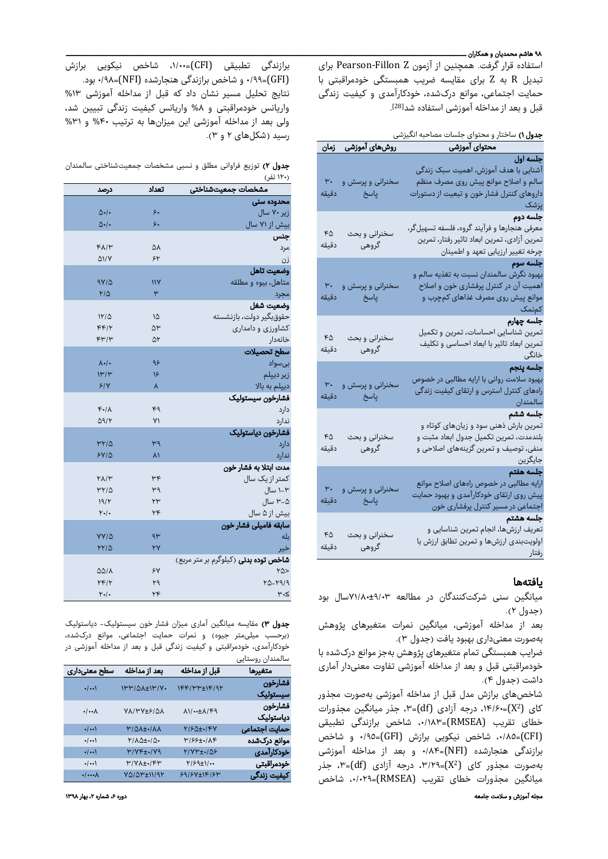## ۹۸ هاشم محمدیان و همکاران ـــــ

استفاده قرار گرفت. همچنین از آزمون Z Fillon-Pearson برای تبدیل R به Z برای مقایسه ضریب همبستگی خودمراقبتی با حمایت اجتماعی، موانع درکشده، خودکارآمدی و کیفیت زندگی قبل و بعد از مداخله آموزشی استفاده شد<sup>[28]</sup>.

|                         | <u>روشهای آموزشی کزمان</u>      | محتواى آموزشى                                                                                                                                            |
|-------------------------|---------------------------------|----------------------------------------------------------------------------------------------------------------------------------------------------------|
| ٣٠<br>دقيقه             | سخنرانی و پرسش و<br>پاسخ ا      | <del>جلسه</del> اول<br>آشنایی با هدف آموزش، اهمیت سبک زندگی<br>سالم و اصلاح موانع پیش روی مصرف منظم<br>داروهای کنترل فشار خون و تبعیت از دستورات<br>يزشک |
| FA<br>دقيقه             | سخنرانی و بحث<br>گروهی          | جلسه دوم<br>معرفی هنجارها و فرآیند گروه، فلسفه تسهیلگر،<br>تمرین آزادی، تمرین ابعاد تاثیر رفتار، تمرین<br>چرخه تغییر ارزیابی تعهد و اطمینان              |
| $\mathsf{r}$ .<br>دقيقه | سخنرانی و پرسش و<br>ا پاسخ<br>ا | جلسه سوم<br>بهبود نگرش سالمندان نسبت به تغذیه سالم و<br>اهمیت آن در کنترل پرفشاری خون و اصلاح<br>موانع پیش روی مصرف غذاهای کمچرب و<br>کمنمک              |
| $\kappa$<br>دقيقه       | سخنرانی و بحث<br>گروهی          | جلسه چهارم<br>تمرین شناسایی احساسات، تمرین و تکمیل<br>تمرین ابعاد تاثیر با ابعاد احساسی و تکلیف<br>خانگی                                                 |
| ۳٠<br>دقيقه             | سخنرانی و پرسش و<br>پاسخ        | جلسه ينجم<br>بهبود سلامت روانی با ارایه مطالبی در خصوص<br>راههای کنترل استرس و ارتقای کیفیت زندگی<br>سالمندان                                            |
| $\kappa$<br>دقيقه       | سخنرانی و بحث<br>گروهی          | جلسه ششم<br>تمرین بارش ذهنی سود و زیانهای کوتاه و<br>بلندمدت، تمرین تکمیل جدول ابعاد مثبت و<br>منفی، توصیف و تمرین گزینههای اصلاحی و<br>جايگزين          |
| ٣.<br>دقيقه             | سخنرانی و پرسش و<br>پاسخ        | جلسه هفتم<br>ارایه مطالبی در خصوص راههای اصلاح موانع<br>پیش روی ارتقای خودکارآمدی و بهبود حمایت<br>اجتماعی در مسیر کنترل پرفشاری خون                     |
| FA<br>دقيقه             | سخنرانی و بحث<br>گروهی          | جلسه هشتم<br>تعریف ارزشها، انجام تمرین شناسایی و<br>اولویتبندی ارزشها و تمرین تطابق ارزش با<br>رفتار                                                     |

# یافتهها

میانگین سنی شرکتکنندگان در مطالعه ۷۱/۸۰±۹/۰۳سال بود (جدول ۲).

بعد از مداخله آموزشی، میانگین نمرات متغیرهای پژوهش بهصورت معنیداری بهبود یافت (جدول ۳).

ضرایب همبستگی تمام متغیرهای پژوهش بهجز موانع درکشده با خودمراقبتی قبل و بعد از مداخله آموزشی تفاوت معنیدار آماری داشت (جدول ۴).

مجله آموزش و سلامت جامعه دوره ،۶ شماره ،۲ بهار ۱۳۹۸ میلادی ،۲ بهار ۱۳۹۸ میلادی ،۲ بهار ۱۳۹۸ میلادی ،۲ بهار ۱۳۹ شاخصهای برازش مدل قبل از مداخله آموزشی بهصورت مجذور X=(،۱۴/۶۰ درجه آزادی (df=(،٣ جذر میانگین مجذورات <sup>2</sup> کای ( خطای تقریب (RMSEA=(،٠/١٨٣ شاخص برازندگی تطبیقی (CFI=(،٠/٨٥ شاخص نیکویی برازش (GFI=(٠/٩٥ و شاخص برازندگی هنجارشده (NFI=(۰/۸۴ و بعد از مداخله آموزشی X=(،۳/۲۹ درجه آزادی (df=(،٣ جذر <sup>2</sup> بهصورت مجذور کای ( میانگین مجذورات خطای تقریب (RMSEA=(،٠/٠٢٩ شاخص

برازندگی تطبیقی (CFI=(،١/٠٠ شاخص نیکویی برازش (GFI=(٠/٩٩ و شاخص برازندگی هنجارشده (NFI=(۰/۹۸ بود. نتایج تحلیل مسیر نشان داد که قبل از مداخله آموزشی %۱۳ واریانس خودمراقبتی و %۸ واریانس کیفیت زندگی تبیین شد، ولی بعد از مداخله آموزشی این میزانها به ترتیب %۴۰ و %۳۱ رسید (شکلهای ۲ و ۳).

| جدول ۲) توزیع فراوانی مطلق و نسبی مشخصات جمعیتشناختی سالمندان |  |  |  |           |
|---------------------------------------------------------------|--|--|--|-----------|
|                                                               |  |  |  | (۱۲۰ نفر) |

| درصد                      | تعداد | مشخصات جمعيتشناختى                          |
|---------------------------|-------|---------------------------------------------|
|                           |       | محدوده سنى                                  |
| $\Delta$ ./.              | ۶.    | زیر ۷۰ سال                                  |
| $\Delta \cdot$ /.         | ۶.    | بیش از ۷۱ سال                               |
|                           |       | جنس                                         |
| FA/Y                      | ۵۸    | مرد                                         |
| $\triangle 1/Y$           | ۶۲    | زن                                          |
|                           |       | وضعيت تاهل                                  |
| 9714                      | ۱۱۷   | متاهل، بیوه و مطلقه                         |
| $Y/\Delta$                | ۳     | مجرد                                        |
|                           |       | وضعيت شغل                                   |
| 1110                      | ١۵    | حقوقبگیر دولت، بازنشسته                     |
| $F$ $F$                   | ۵۳    | کشاورزی و دامداری                           |
| $F^{\mu}/\mu$             | ۵۲    | خانەدار                                     |
|                           |       | سطح تحصيلات                                 |
| $\lambda \cdot$ / $\cdot$ | ۹۶    | بىسواد                                      |
| $\mathcal{W}/\mathcal{W}$ | ۱۶    | زیر دیپلم                                   |
| 51Y                       | ٨     | دییلم به بالا                               |
|                           |       | فشارخون سيستوليك                            |
| $F\cdot/\Lambda$          | ۴۹    | دارد                                        |
| $\Delta$ 9/۲              | ٧١    | ندارد                                       |
|                           |       | فشارخون دياستوليک                           |
| ۳۲۱۵                      | ۳۹    | دارد                                        |
| $5Y/\Delta$               | ۸۱    | ندارد                                       |
|                           |       | مدت ابتلا به فشار خون                       |
| $Y\Lambda/Y$              | ٣۴    | کمتر از یک سال                              |
| ۳۲/۵                      | ۳۹    | ۱-۳ سال                                     |
| 19/1                      | ٢٣    | ۳-۵ سال                                     |
| Y.                        | ٢۴    | بیش از ۵ سال                                |
|                           |       | سابقه فاميلى فشار خون                       |
| YY/Q                      | ۹۳    | بله                                         |
| 1710                      | ٢Y    | خير                                         |
|                           |       | <b>شاخص توده بدنی</b> (کیلوگرم بر متر مربع) |
| $\Delta\Delta/\lambda$    | ۶٧    | $Y\Delta >$                                 |
| YF/Y                      | ۲۹    | 12-1919                                     |
| Y.                        | ٢۴    | $\mu$ .<                                    |

جدول ۳) مقایسه میانگین آماری میزان فشار خون سیستولیک- دیاستولیک (برحسب میلیمتر جیوه) و نمرات حمایت اجتماعی، موانع درکشده، خودکارآمدی، خودمراقبتی و کیفیت زندگی قبل و بعد از مداخله آموزشی در سالمندان روستایی

| ີ                    |                                           |                                   |                               |
|----------------------|-------------------------------------------|-----------------------------------|-------------------------------|
| متغيرها              | قبل از مداخله                             | بعد از مداخله                     | سطح معنىدارى                  |
| فشارخون<br>سيستوليک  | IFF/H''HIF/9Y                             | <b>IMMIQA±IM/V.</b>               | $\cdot$ / $\cdot\cdot$ )      |
| فشارخون<br>دباستولیک | $\Lambda$ $\rightarrow$ $\pm \Lambda$ /۴۹ | VAI YY + SIAA                     | $\cdot$ / $\cdot\cdot\lambda$ |
| حمايت اجتماعي        | 7180±.14Y                                 | <b>M/QA±./AA</b>                  | $\cdot$ / $\cdot\cdot$ )      |
| موانع درکشده         | $Y/55t$ ./ $\Lambda$ ۴                    | $Y/\Lambda\Delta t$ ./ $\Delta$ . | $\cdot$ / $\cdot\cdot$ )      |
| خودکارآمدی           | Y/V۳±./۵۶                                 | $Y/Y$ F±./ $Y$ ۹                  | $\cdot/\cdots$                |
| خودمراقبتي           | $Y/\mathcal{P}(\pm)/$                     | $Y/Y\Lambda_{\pm\bullet}/YY$      | $\cdot$ / $\cdot\cdot$ )      |
| كيفيت زندگي          | $59/5V \pm 116/5W$                        | VQ/QP±11/97                       | $\cdot$ / $\cdots$            |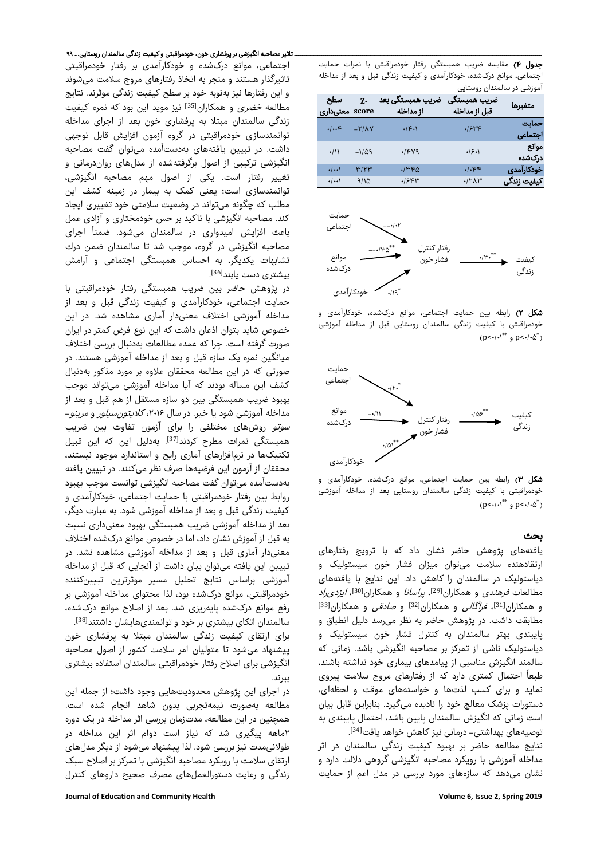جدول ۴) مقایسه ضریب همبستگی رفتار خودمراقبتی با نمرات حمایت اجتماعی، موانع درکشده، خودکارآمدی و کیفیت زندگی قبل و بعد از مداخله آموزشی در سالمندان روستایی

| سطح<br>score معنىدارى    | $Z -$         | ضریب همبستگی بعد<br>از مداخله        | ضريب همبستگي<br>قبل از مداخله | متغيرها          |
|--------------------------|---------------|--------------------------------------|-------------------------------|------------------|
| $\cdot/\cdot \cdot$ ۴    | $-Y/AY$       | $\cdot$ $ \mathcal{F} \cdot \rangle$ | .154F                         | حماىت<br>اجتماعي |
| $\cdot/11$               | $-1/\Delta$ ۹ | $\cdot$ /۴۷۹                         | .9.1                          | موانع<br>درکشده  |
| $\cdot$ / $\cdot\cdot$ ) | ۳۱۲۳          | $\cdot$ /۳۴۵                         | $.$ $\cdot$ $\epsilon$        | خودكارآمدى       |
| $\cdot/\cdots$           | 9/10          | .18FW                                | $\cdot$ / $\gamma$ A $\gamma$ | کیفیت زندگی      |



شکل ۲) رابطه بین حمایت اجتماعی، موانع درکشده، خودکارآمدی و خودمراقبتی با کیفیت زندگی سالمندان روستایی قبل از مداخله آموزشی  $(p<\cdot/\cdot)^{**}$  و  $p<\cdot/\cdot\Delta^*$ 



شکل ۳) رابطه بین حمایت اجتماعی، موانع درکشده، خودکارآمدی و خودمراقبتی با کیفیت زندگی سالمندان روستایی بعد از مداخله آموزشی  $(p<\cdot/\cdot)^{**}$  و  $p<\cdot/\cdot\Delta^*$ 

# بحث

یافتههای پژوهش حاضر نشان داد که با ترویج رفتارهای ارتقادهنده سلامت میتوان میزان فشار خون سیستولیک و دیاستولیک در سالمندان را کاهش داد. این نتایج با یافتههای مطالعات *فرهندی* و همکاران<sup>[29]</sup>، *پراسانا* و همکاران<sup>[30]</sup>، *ایزدی راد* وهمکاران<sup>[31]</sup>، *فراگالی* و همکاران<sup>[32]</sup> و ص*ادقی* و همکاران<sup>[33]</sup> مطابقت داشت. در پژوهش حاضر به نظر میرسد دلیل انطباق و پایبندی بهتر سالمندان به کنترل فشار خون سیستولیک و دیاستولیک ناشی از تمرکز بر مصاحبه انگیزشی باشد. زمانی که سالمند انگیزش مناسبی از پیامدهای بیماری خود نداشته باشند،<br>طبعاً احتمال کمتری دارد که از رفتارهای مروج سلامت ییروی نماید و برای کسب لذتها و خواستههای موقت و لحظهای، دستورات پزشک معالج خود را نادیده میگیرد. بنابراین قابل بیان است زمانی که انگیزش سالمندان پایین باشد، احتمال پایبندی به [34] توصیههای بهداشتی- درمانی نیز کاهش خواهد یافت .

نتایج مطالعه حاضر بر بهبود کیفیت زندگی سالمندان در اثر مداخله آموزشی با رویکرد مصاحبه انگیزشی گروهی دلالت دارد و نشان میدهد که سازههای مورد بررسی در مدل اعم از حمایت

تاثیرگذار هستند و منجر به اتخاذ رفتارهای مروج سلامت میشوند و این رفتارها نیز بهنوبه خود بر سطح کیفیت زندگی موثرند. نتایج مطالعه *خضری* و همکاران<sup>[35]</sup> نیز موید این بود که نمره کیفیت زندگی سالمندان مبتلا به پرفشاری خون بعد از اجرای مداخله توانمندسازی خودمراقبتی در گروه آزمون افزایش قابل توجهی داشت. در تبیین یافتههای بهدستآمده میتوان گفت مصاحبه انگیزشی ترکیبی از اصول برگرفتهشده از مدلهای رواندرمانی و تغییر رفتار است. یکی از اصول مهم مصاحبه انگیزشی، توانمندسازی است؛ یعنی کمک به بیمار در زمینه کشف این مطلب که چگونه میتواند در وضعیت سلامتی خود تغییری ایجاد کند. مصاحبه انگیزشی با تاکید بر حس خودمختاری و آزادی عمل باعث افزایش امیدواری در سالمندان میشود. ضمناً اجرای مصاحبه انگیزشی در گروه، موجب شد تا سالمندان ضمن درك تشابهات یکدیگر، به احساس همبستگی اجتماعی و آرامش بیشتری دست یابند<sup>[36]</sup>. .

در پژوهش حاضر بین ضریب همبستگی رفتار خودمراقبتی با حمایت اجتماعی، خودکارآمدی و کیفیت زندگی قبل و بعد از مداخله آموزشی اختلاف معنیدار آماری مشاهده شد. در این خصوص شاید بتوان اذعان داشت که این نوع فرض کمتر در ایران صورت گرفته است. چرا که عمده مطالعات بهدنبال بررسی اختلاف میانگین نمره یک سازه قبل و بعد از مداخله آموزشی هستند. در صورتی که در این مطالعه محققان علاوه بر مورد مذکور بهدنبال کشف این مساله بودند که آیا مداخله آموزشی میتواند موجب بهبود ضریب همبستگی بین دو سازه مستقل از هم قبل و بعد از مداخله آموزشی شود یا خیر. در سال ۲۰۱۶، *کلایتونسیلور* و *مرینو*-*سوتو* روشهای مختلفی را برای آزمون تفاوت بین ضریب همبستگی نمرات مطرح کردند[37]. بهدلیل این که این قبیل تکنیکها در نرمافزارهای آماری رایج و استاندارد موجود نیستند، محققان از آزمون این فرضیهها صرف نظر میکنند. در تبیین یافته بهدستآمده میتوان گفت مصاحبه انگیزشی توانست موجب بهبود روابط بین رفتار خودمراقبتی با حمایت اجتماعی، خودکارآمدی و کیفیت زندگی قبل و بعد از مداخله آموزشی شود. به عبارت دیگر، بعد از مداخله آموزشی ضریب همبستگی بهبود معنیداری نسبت به قبل از آموزش نشان داد، اما در خصوص موانع درکشده اختلاف معنیدار آماری قبل و بعد از مداخله آموزشی مشاهده نشد. در تبیین این یافته میتوان بیان داشت از آنجایی که قبل از مداخله آموزشی براساس نتایج تحلیل مسیر موثرترین تبیینکننده خودمراقبتی، موانع درکشده بود، لذا محتوای مداخله آموزشی بر رفع موانع درکشده پایهریزی شد. بعد از اصلاح موانع درکشده، سالمندان اتکای بیشتری بر خود و توانمندیهایشان داشتند[38]. برای ارتقای کیفیت زندگی سالمندان مبتلا به پرفشاری خون

پیشنهاد میشود تا متولیان امر سلامت کشور از اصول مصاحبه انگیزشی برای اصلاح رفتار خودمراقبتی سالمندان استفاده بیشتری ببرند.

در اجرای این پژوهش محدودیتهایی وجود داشت؛ از جمله این مطالعه بهصورت نیمهتجربی بدون شاهد انجام شده است. همچنین در این مطالعه، مدتزمان بررسی اثر مداخله در یک دوره ۲ماهه پیگیری شد که نیاز است دوام اثر این مداخله در طولانیمدت نیز بررسی شود. لذا پیشنهاد میشود از دیگر مدلهای ارتقای سلامت با رویکرد مصاحبه انگیزشی با تمرکز بر اصلاح سبک زندگی و رعایت دستورالعملهای مصرف صحیح داروهای کنترل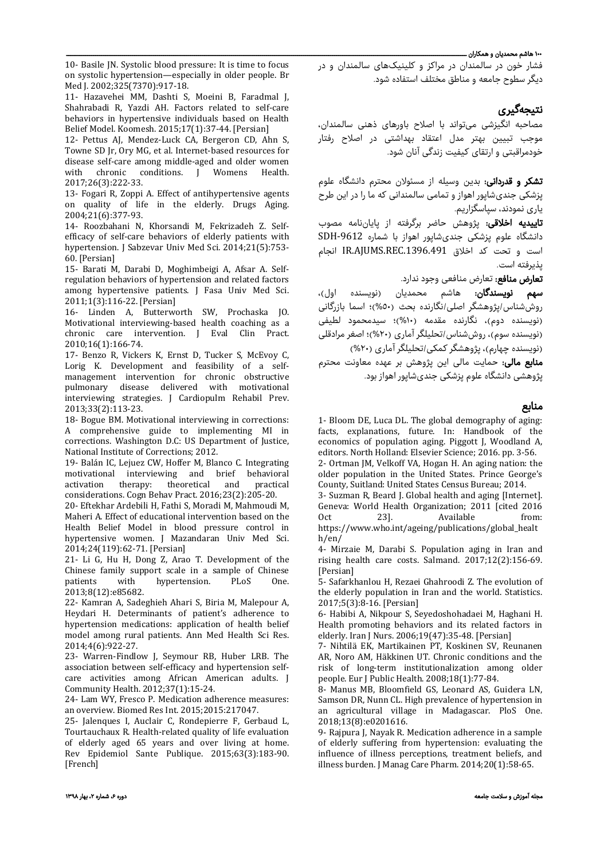## ۱۰۰ هاشم محمديان و همکاران ــــــــــــــــــــــــــــــــــــــــــــــــــــــــــــــــــــــــــــــــــــــــــــــــــــــــــــــــــــــــــــــــــــــــــــــــــــــــــــــــــــــــــــــــــــــــــــــــــــــــــــــ

10- Basile JN. Systolic blood pressure: It is time to focus on systolic hypertension—especially in older people. Br Med J. 2002;325(7370):917-18.

11- Hazavehei MM, Dashti S, Moeini B, Faradmal J, Shahrabadi R, Yazdi AH. Factors related to self-care behaviors in hypertensive individuals based on Health Belief Model. Koomesh. 2015;17(1):37-44. [Persian]

12- Pettus AJ, Mendez-Luck CA, Bergeron CD, Ahn S, Towne SD Jr, Ory MG, et al. Internet-based resources for disease self-care among middle-aged and older women<br>with chronic conditions. I Womens Health. chronic conditions. J Womens 2017;26(3):222-33.

13- Fogari R, Zoppi A. Effect of antihypertensive agents on quality of life in the elderly. Drugs Aging. 2004;21(6):377-93.

14- Roozbahani N, Khorsandi M, Fekrizadeh Z. Selfefficacy of self-care behaviors of elderly patients with hypertension. J Sabzevar Univ Med Sci. 2014;21(5):753- 60. [Persian]

15- Barati M, Darabi D, Moghimbeigi A, Afsar A. Selfregulation behaviors of hypertension and related factors among hypertensive patients. J Fasa Univ Med Sci. 2011;1(3):116-22. [Persian]

16- Linden A, Butterworth SW, Prochaska JO. Motivational interviewing-based health coaching as a chronic care intervention. J Eval Clin Pract. 2010;16(1):166-74.

17- Benzo R, Vickers K, Ernst D, Tucker S, McEvoy C, Lorig K. Development and feasibility of a selfmanagement intervention for chronic obstructive pulmonary disease delivered with motivational interviewing strategies. J Cardiopulm Rehabil Prev. 2013;33(2):113-23.

18- Bogue BM. Motivational interviewing in corrections: A comprehensive guide to implementing MI in corrections. Washington D.C: US Department of Justice, National Institute of Corrections; 2012.

19- Balán IC, Lejuez CW, Hoffer M, Blanco C. Integrating motivational interviewing and brief behavioral<br>activation therapy: theoretical and practical activation therapy: theoretical and practical considerations. Cogn Behav Pract. 2016;23(2):205-20.

20- Eftekhar Ardebili H, Fathi S, Moradi M, Mahmoudi M, Maheri A. Effect of educational intervention based on the Health Belief Model in blood pressure control in hypertensive women. J Mazandaran Univ Med Sci. 2014;24(119):62-71. [Persian]

21- Li G, Hu H, Dong Z, Arao T. Development of the Chinese family support scale in a sample of Chinese<br>patients with hypertension. PLoS One. hypertension. 2013;8(12):e85682.

22- Kamran A, Sadeghieh Ahari S, Biria M, Malepour A, Heydari H. Determinants of patient's adherence to hypertension medications: application of health belief model among rural patients. Ann Med Health Sci Res. 2014;4(6):922-27.

23- Warren-Findlow J, Seymour RB, Huber LRB. The association between self-efficacy and hypertension selfcare activities among African American adults. J Community Health. 2012;37(1):15-24.

24- Lam WY, Fresco P. Medication adherence measures: an overview. Biomed Res Int. 2015;2015:217047.

25- Jalenques I, Auclair C, Rondepierre F, Gerbaud L, Tourtauchaux R. Health-related quality of life evaluation of elderly aged 65 years and over living at home. Rev Epidemiol Sante Publique. 2015;63(3):183-90. [French]

فشار خون در سالمندان در مراکز و کلینیکهای سالمندان و در دیگر سطوح جامعه و مناطق مختلف استفاده شود.

# نتیجهگیری

مصاحبه انگیزشی میتواند با اصلاح باورهای ذهنی سالمندان، موجب تبیین بهتر مدل اعتقاد بهداشتی در اصلاح رفتار خودمراقبتی و ارتقای کیفیت زندگی آنان شود.

تشکر و قدردانی: بدین وسیله از مسئولان محترم دانشگاه علوم پزشكی جندیشاپور اهواز و تمامی سالمندانی که ما را در این طرح یاری نمودند، سپاسگزاریم.

...ری<br>**تاییدیه اخلاقی**: پژوهش حاضر برگرفته از پایاننامه مصوب دانشگاه علوم پزشكی جندیشاپور اهواز با شماره -9612SDH است و تحت کد اخلاق .1396.491REC.AJUMS.IR انجام پذیرفته است.

**تعارض منافع:** تعارض منافعی وجود ندارد.

سهم نویسندگان: هاشم محمديان (نویسنده اول)، روششناس/پژوهشگر اصلی/نگارنده بحث (%٥٠)؛ اسما بازرگانی (نویسنده دوم)، نگارنده مقدمه (%١٠)؛ سیدمحمود لطیفی (نویسنده سوم)، روششناس/تحلیلگر آماری (%٢٠)؛ اصغر مرادقلی (نویسنده چهارم)، پژوهشگر کمکی/تحلیلگر آماری (%٢٠)

م**نابع مالی:** حمایت مالی این پژوهش بر عهده معاونت محترم پژوهشی دانشگاه علوم پزشكی جندیشاپور اهواز بود.

# منابع

1- Bloom DE, Luca DL. The global demography of aging: facts, explanations, future. In: Handbook of the economics of population aging. Piggott J, Woodland A, editors. North Holland: Elsevier Science; 2016. pp. 3-56.

2- Ortman JM, Velkoff VA, Hogan H. An aging nation: the older population in the United States. Prince George's County, Suitland: United States Census Bureau; 2014.

3- Suzman R, Beard J. Global health and aging [Internet]. Geneva: World Health Organization; 2011 [cited 2016<br>Oct 23]. Available from: Available

https://www.who.int/ageing/publications/global\_healt h/en/

4- Mirzaie M, Darabi S. Population aging in Iran and rising health care costs. Salmand. 2017;12(2):156-69. [Persian]

5- Safarkhanlou H, Rezaei Ghahroodi Z. The evolution of the elderly population in Iran and the world. Statistics. 2017;5(3):8-16. [Persian]

6- Habibi A, Nikpour S, Seyedoshohadaei M, Haghani H. Health promoting behaviors and its related factors in elderly. Iran J Nurs. 2006;19(47):35-48. [Persian]

7- Nihtilä EK, Martikainen PT, Koskinen SV, Reunanen AR, Noro AM, Häkkinen UT. Chronic conditions and the risk of long-term institutionalization among older people. Eur J Public Health. 2008;18(1):77-84.

8- Manus MB, Bloomfield GS, Leonard AS, Guidera LN, Samson DR, Nunn CL. High prevalence of hypertension in an agricultural village in Madagascar. PloS One. 2018;13(8):e0201616.

9- Rajpura J, Nayak R. Medication adherence in a sample of elderly suffering from hypertension: evaluating the influence of illness perceptions, treatment beliefs, and illness burden. J Manag Care Pharm. 2014;20(1):58-65.